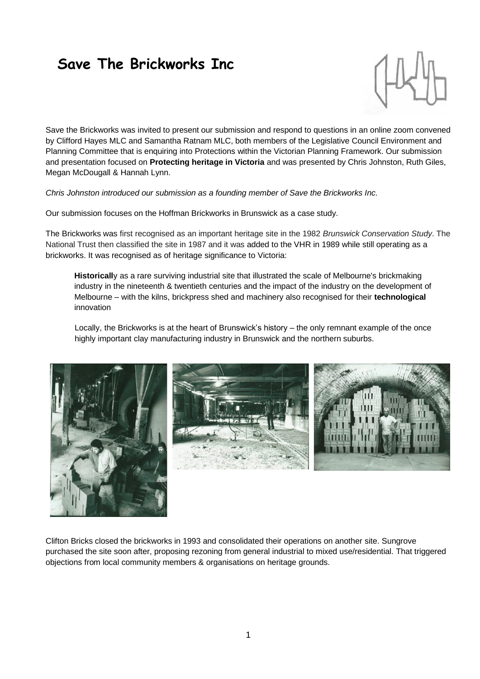# **Save The Brickworks Inc**



Save the Brickworks was invited to present our submission and respond to questions in an online zoom convened by Clifford Hayes MLC and Samantha Ratnam MLC, both members of the Legislative Council Environment and Planning Committee that is enquiring into Protections within the Victorian Planning Framework. Our submission and presentation focused on **Protecting heritage in Victoria** and was presented by Chris Johnston, Ruth Giles, Megan McDougall & Hannah Lynn.

*Chris Johnston introduced our submission as a founding member of Save the Brickworks Inc.*

Our submission focuses on the Hoffman Brickworks in Brunswick as a case study.

The Brickworks was first recognised as an important heritage site in the 1982 *Brunswick Conservation Study*. The National Trust then classified the site in 1987 and it was added to the VHR in 1989 while still operating as a brickworks. It was recognised as of heritage significance to Victoria:

**Historicall**y as a rare surviving industrial site that illustrated the scale of Melbourne's brickmaking industry in the nineteenth & twentieth centuries and the impact of the industry on the development of Melbourne – with the kilns, brickpress shed and machinery also recognised for their **technological** innovation

Locally, the Brickworks is at the heart of Brunswick's history – the only remnant example of the once highly important clay manufacturing industry in Brunswick and the northern suburbs.





Clifton Bricks closed the brickworks in 1993 and consolidated their operations on another site. Sungrove purchased the site soon after, proposing rezoning from general industrial to mixed use/residential. That triggered objections from local community members & organisations on heritage grounds.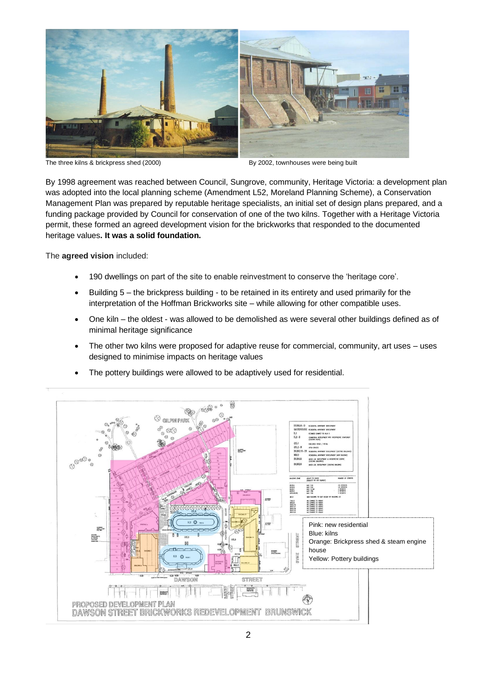

The three kilns & brickpress shed (2000) By 2002, townhouses were being built

By 1998 agreement was reached between Council, Sungrove, community, Heritage Victoria: a development plan was adopted into the local planning scheme (Amendment L52, Moreland Planning Scheme), a Conservation Management Plan was prepared by reputable heritage specialists, an initial set of design plans prepared, and a funding package provided by Council for conservation of one of the two kilns. Together with a Heritage Victoria permit, these formed an agreed development vision for the brickworks that responded to the documented heritage values**. It was a solid foundation.**

The **agreed vision** included:

- 190 dwellings on part of the site to enable reinvestment to conserve the 'heritage core'.
- Building 5 the brickpress building to be retained in its entirety and used primarily for the interpretation of the Hoffman Brickworks site – while allowing for other compatible uses.
- One kiln the oldest was allowed to be demolished as were several other buildings defined as of minimal heritage significance
- The other two kilns were proposed for adaptive reuse for commercial, community, art uses uses designed to minimise impacts on heritage values



The pottery buildings were allowed to be adaptively used for residential.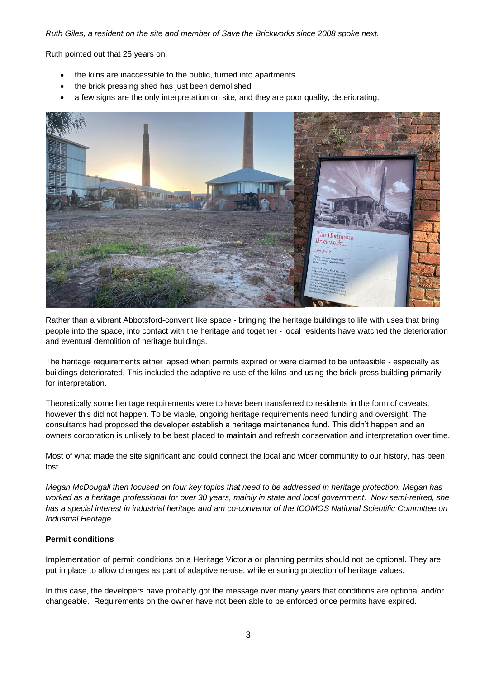#### *Ruth Giles, a resident on the site and member of Save the Brickworks since 2008 spoke next.*

Ruth pointed out that 25 years on:

- the kilns are inaccessible to the public, turned into apartments
- the brick pressing shed has just been demolished
- a few signs are the only interpretation on site, and they are poor quality, deteriorating.



Rather than a vibrant Abbotsford-convent like space - bringing the heritage buildings to life with uses that bring people into the space, into contact with the heritage and together - local residents have watched the deterioration and eventual demolition of heritage buildings.

The heritage requirements either lapsed when permits expired or were claimed to be unfeasible - especially as buildings deteriorated. This included the adaptive re-use of the kilns and using the brick press building primarily for interpretation.

Theoretically some heritage requirements were to have been transferred to residents in the form of caveats, however this did not happen. To be viable, ongoing heritage requirements need funding and oversight. The consultants had proposed the developer establish a heritage maintenance fund. This didn't happen and an owners corporation is unlikely to be best placed to maintain and refresh conservation and interpretation over time.

Most of what made the site significant and could connect the local and wider community to our history, has been lost.

*Megan McDougall then focused on four key topics that need to be addressed in heritage protection. Megan has worked as a heritage professional for over 30 years, mainly in state and local government. Now semi-retired, she has a special interest in industrial heritage and am co-convenor of the ICOMOS National Scientific Committee on Industrial Heritage.* 

## **Permit conditions**

Implementation of permit conditions on a Heritage Victoria or planning permits should not be optional. They are put in place to allow changes as part of adaptive re-use, while ensuring protection of heritage values.

In this case, the developers have probably got the message over many years that conditions are optional and/or changeable. Requirements on the owner have not been able to be enforced once permits have expired.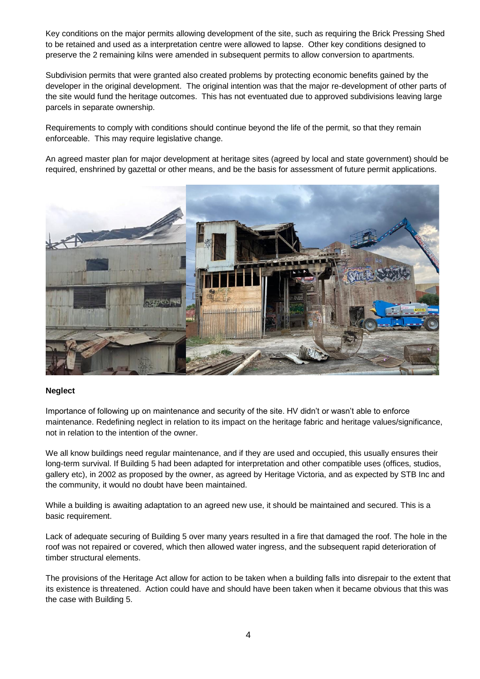Key conditions on the major permits allowing development of the site, such as requiring the Brick Pressing Shed to be retained and used as a interpretation centre were allowed to lapse. Other key conditions designed to preserve the 2 remaining kilns were amended in subsequent permits to allow conversion to apartments.

Subdivision permits that were granted also created problems by protecting economic benefits gained by the developer in the original development. The original intention was that the major re-development of other parts of the site would fund the heritage outcomes. This has not eventuated due to approved subdivisions leaving large parcels in separate ownership.

Requirements to comply with conditions should continue beyond the life of the permit, so that they remain enforceable. This may require legislative change.

An agreed master plan for major development at heritage sites (agreed by local and state government) should be required, enshrined by gazettal or other means, and be the basis for assessment of future permit applications.



## **Neglect**

Importance of following up on maintenance and security of the site. HV didn't or wasn't able to enforce maintenance. Redefining neglect in relation to its impact on the heritage fabric and heritage values/significance, not in relation to the intention of the owner.

We all know buildings need regular maintenance, and if they are used and occupied, this usually ensures their long-term survival. If Building 5 had been adapted for interpretation and other compatible uses (offices, studios, gallery etc), in 2002 as proposed by the owner, as agreed by Heritage Victoria, and as expected by STB Inc and the community, it would no doubt have been maintained.

While a building is awaiting adaptation to an agreed new use, it should be maintained and secured. This is a basic requirement.

Lack of adequate securing of Building 5 over many years resulted in a fire that damaged the roof. The hole in the roof was not repaired or covered, which then allowed water ingress, and the subsequent rapid deterioration of timber structural elements.

The provisions of the Heritage Act allow for action to be taken when a building falls into disrepair to the extent that its existence is threatened. Action could have and should have been taken when it became obvious that this was the case with Building 5.